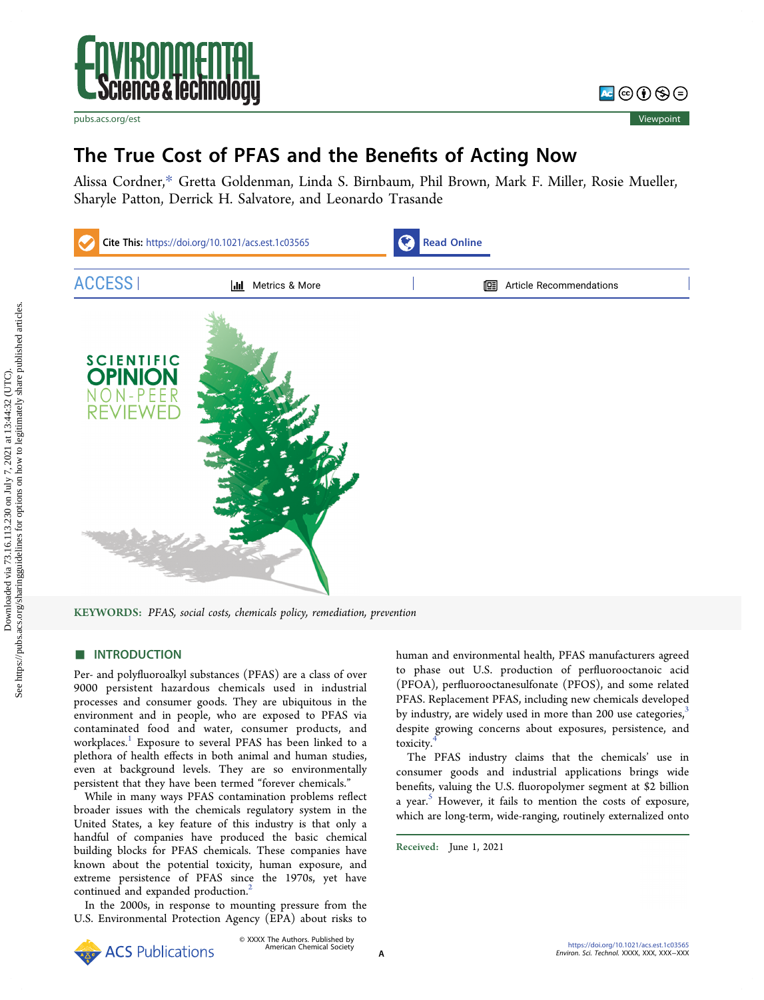



# The True Cost of PFAS and the Benefits of Acting Now

[Alissa Cordner,](https://pubs.acs.org/action/doSearch?field1=Contrib&text1="Alissa+Cordner"&field2=AllField&text2=&publication=&accessType=allContent&Earliest=&ref=pdf)[\\*](#page-2-0) [Gretta Goldenman,](https://pubs.acs.org/action/doSearch?field1=Contrib&text1="Gretta+Goldenman"&field2=AllField&text2=&publication=&accessType=allContent&Earliest=&ref=pdf) [Linda S. Birnbaum,](https://pubs.acs.org/action/doSearch?field1=Contrib&text1="Linda+S.+Birnbaum"&field2=AllField&text2=&publication=&accessType=allContent&Earliest=&ref=pdf) [Phil Brown,](https://pubs.acs.org/action/doSearch?field1=Contrib&text1="Phil+Brown"&field2=AllField&text2=&publication=&accessType=allContent&Earliest=&ref=pdf) [Mark F. Miller,](https://pubs.acs.org/action/doSearch?field1=Contrib&text1="Mark+F.+Miller"&field2=AllField&text2=&publication=&accessType=allContent&Earliest=&ref=pdf) [Rosie Mueller,](https://pubs.acs.org/action/doSearch?field1=Contrib&text1="Rosie+Mueller"&field2=AllField&text2=&publication=&accessType=allContent&Earliest=&ref=pdf) [Sharyle Patton,](https://pubs.acs.org/action/doSearch?field1=Contrib&text1="Sharyle+Patton"&field2=AllField&text2=&publication=&accessType=allContent&Earliest=&ref=pdf) [Derrick H. Salvatore,](https://pubs.acs.org/action/doSearch?field1=Contrib&text1="Derrick+H.+Salvatore"&field2=AllField&text2=&publication=&accessType=allContent&Earliest=&ref=pdf) [and Leonardo Trasande](https://pubs.acs.org/action/doSearch?field1=Contrib&text1="Leonardo+Trasande"&field2=AllField&text2=&publication=&accessType=allContent&Earliest=&ref=pdf)



KEYWORDS: PFAS, social costs, chemicals policy, remediation, prevention

# **ENTRODUCTION**

Per- and polyfluoroalkyl substances (PFAS) are a class of over 9000 persistent hazardous chemicals used in industrial processes and consumer goods. They are ubiquitous in the environment and in people, who are exposed to PFAS via contaminated food and water, consumer products, and workplaces.<sup>1</sup> Exposure to several PFAS has been linked to a plethora of health effects in both animal and human studies, even at background levels. They are so environmentally persistent that they have been termed "forever chemicals."

While in many ways PFAS contamination problems reflect broader issues with the chemicals regulatory system in the United States, a key feature of this industry is that only a handful of companies have produced the basic chemical building blocks for PFAS chemicals. These companies have known about the potential toxicity, human exposure, and extreme persistence of PFAS since the 1970s, yet have continued and expanded production.<sup>2</sup>

In the 2000s, in response to mounting pressure from the U.S. Environmental Protection Agency (EPA) about risks to human and environmental health, PFAS manufacturers agreed to phase out U.S. production of perfluorooctanoic acid (PFOA), perfluorooctanesulfonate (PFOS), and some related PFAS. Replacement PFAS, including new chemicals developed by industry, are widely used in more than 200 use categories, $3$ despite growing concerns about exposures, persistence, and toxicity.[4](#page-3-0)

The PFAS industry claims that the chemicals' use in consumer goods and industrial applications brings wide benefits, valuing the U.S. fluoropolymer segment at \$2 billion a year.<sup>[5](#page-3-0)</sup> However, it fails to mention the costs of exposure, which are long-term, wide-ranging, routinely externalized onto

Received: June 1, 2021

**ACS** Publications

© XXXX The Authors. Published by American Chemical Society <sup>A</sup>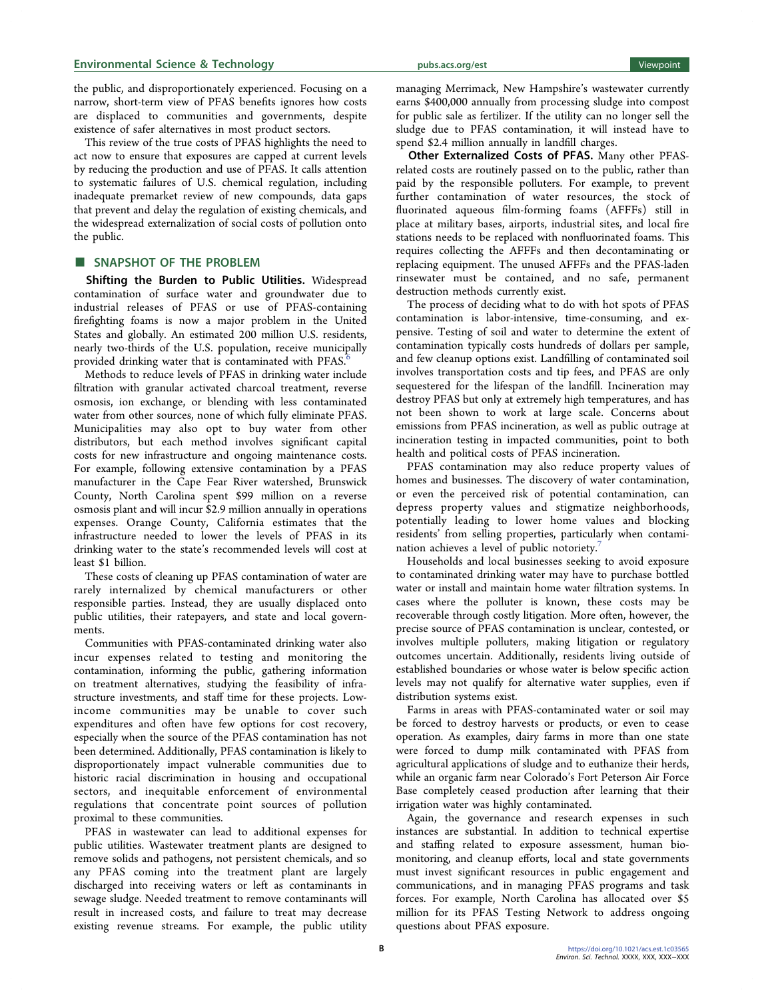# Environmental Science & Technology environmental Science & Technology environmental Viewpoint

the public, and disproportionately experienced. Focusing on a narrow, short-term view of PFAS benefits ignores how costs are displaced to communities and governments, despite existence of safer alternatives in most product sectors.

This review of the true costs of PFAS highlights the need to act now to ensure that exposures are capped at current levels by reducing the production and use of PFAS. It calls attention to systematic failures of U.S. chemical regulation, including inadequate premarket review of new compounds, data gaps that prevent and delay the regulation of existing chemicals, and the widespread externalization of social costs of pollution onto the public.

## ■ SNAPSHOT OF THE PROBLEM

Shifting the Burden to Public Utilities. Widespread contamination of surface water and groundwater due to industrial releases of PFAS or use of PFAS-containing firefighting foams is now a major problem in the United States and globally. An estimated 200 million U.S. residents, nearly two-thirds of the U.S. population, receive municipally provided drinking water that is contaminated with PFAS.<sup>6</sup>

Methods to reduce levels of PFAS in drinking water include filtration with granular activated charcoal treatment, reverse osmosis, ion exchange, or blending with less contaminated water from other sources, none of which fully eliminate PFAS. Municipalities may also opt to buy water from other distributors, but each method involves significant capital costs for new infrastructure and ongoing maintenance costs. For example, following extensive contamination by a PFAS manufacturer in the Cape Fear River watershed, Brunswick County, North Carolina spent \$99 million on a reverse osmosis plant and will incur \$2.9 million annually in operations expenses. Orange County, California estimates that the infrastructure needed to lower the levels of PFAS in its drinking water to the state's recommended levels will cost at least \$1 billion.

These costs of cleaning up PFAS contamination of water are rarely internalized by chemical manufacturers or other responsible parties. Instead, they are usually displaced onto public utilities, their ratepayers, and state and local governments.

Communities with PFAS-contaminated drinking water also incur expenses related to testing and monitoring the contamination, informing the public, gathering information on treatment alternatives, studying the feasibility of infrastructure investments, and staff time for these projects. Lowincome communities may be unable to cover such expenditures and often have few options for cost recovery, especially when the source of the PFAS contamination has not been determined. Additionally, PFAS contamination is likely to disproportionately impact vulnerable communities due to historic racial discrimination in housing and occupational sectors, and inequitable enforcement of environmental regulations that concentrate point sources of pollution proximal to these communities.

PFAS in wastewater can lead to additional expenses for public utilities. Wastewater treatment plants are designed to remove solids and pathogens, not persistent chemicals, and so any PFAS coming into the treatment plant are largely discharged into receiving waters or left as contaminants in sewage sludge. Needed treatment to remove contaminants will result in increased costs, and failure to treat may decrease existing revenue streams. For example, the public utility

managing Merrimack, New Hampshire's wastewater currently earns \$400,000 annually from processing sludge into compost for public sale as fertilizer. If the utility can no longer sell the sludge due to PFAS contamination, it will instead have to

spend \$2.4 million annually in landfill charges. Other Externalized Costs of PFAS. Many other PFASrelated costs are routinely passed on to the public, rather than paid by the responsible polluters. For example, to prevent further contamination of water resources, the stock of fluorinated aqueous film-forming foams (AFFFs) still in place at military bases, airports, industrial sites, and local fire stations needs to be replaced with nonfluorinated foams. This requires collecting the AFFFs and then decontaminating or replacing equipment. The unused AFFFs and the PFAS-laden rinsewater must be contained, and no safe, permanent destruction methods currently exist.

The process of deciding what to do with hot spots of PFAS contamination is labor-intensive, time-consuming, and expensive. Testing of soil and water to determine the extent of contamination typically costs hundreds of dollars per sample, and few cleanup options exist. Landfilling of contaminated soil involves transportation costs and tip fees, and PFAS are only sequestered for the lifespan of the landfill. Incineration may destroy PFAS but only at extremely high temperatures, and has not been shown to work at large scale. Concerns about emissions from PFAS incineration, as well as public outrage at incineration testing in impacted communities, point to both health and political costs of PFAS incineration.

PFAS contamination may also reduce property values of homes and businesses. The discovery of water contamination, or even the perceived risk of potential contamination, can depress property values and stigmatize neighborhoods, potentially leading to lower home values and blocking residents' from selling properties, particularly when contamination achieves a level of public notoriety.<sup>7</sup>

Households and local businesses seeking to avoid exposure to contaminated drinking water may have to purchase bottled water or install and maintain home water filtration systems. In cases where the polluter is known, these costs may be recoverable through costly litigation. More often, however, the precise source of PFAS contamination is unclear, contested, or involves multiple polluters, making litigation or regulatory outcomes uncertain. Additionally, residents living outside of established boundaries or whose water is below specific action levels may not qualify for alternative water supplies, even if distribution systems exist.

Farms in areas with PFAS-contaminated water or soil may be forced to destroy harvests or products, or even to cease operation. As examples, dairy farms in more than one state were forced to dump milk contaminated with PFAS from agricultural applications of sludge and to euthanize their herds, while an organic farm near Colorado's Fort Peterson Air Force Base completely ceased production after learning that their irrigation water was highly contaminated.

Again, the governance and research expenses in such instances are substantial. In addition to technical expertise and staffing related to exposure assessment, human biomonitoring, and cleanup efforts, local and state governments must invest significant resources in public engagement and communications, and in managing PFAS programs and task forces. For example, North Carolina has allocated over \$5 million for its PFAS Testing Network to address ongoing questions about PFAS exposure.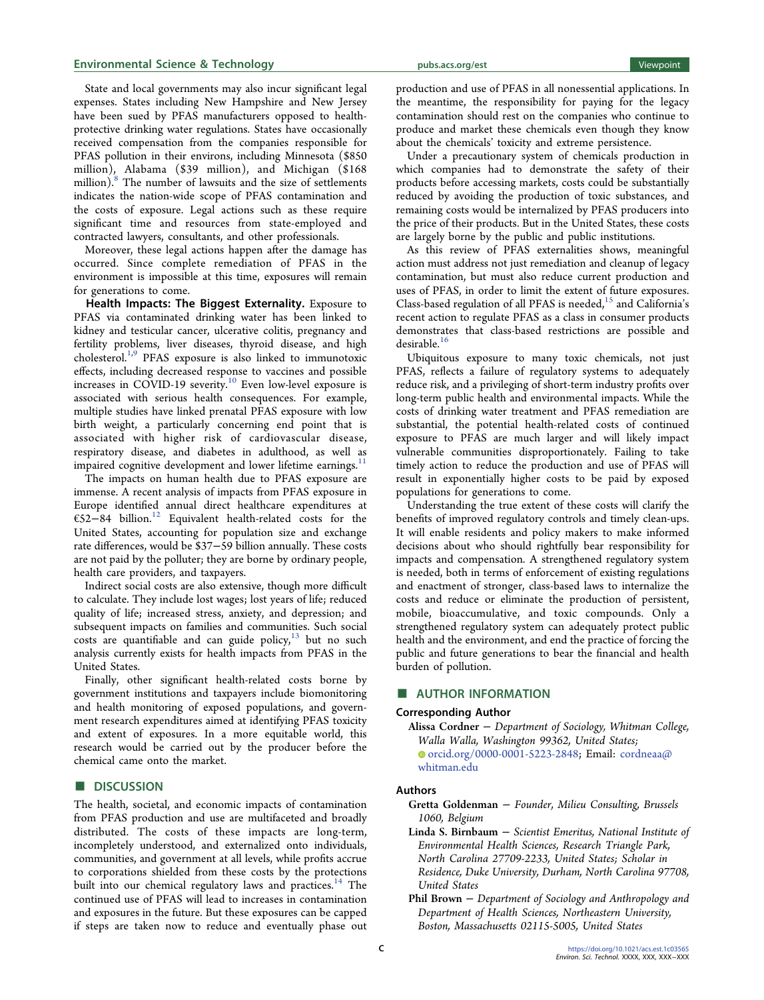## <span id="page-2-0"></span>Environmental Science & Technology [pubs.acs.org/est](pubs.acs.org/est?ref=pdf) Viewpoint

State and local governments may also incur significant legal expenses. States including New Hampshire and New Jersey have been sued by PFAS manufacturers opposed to healthprotective drinking water regulations. States have occasionally received compensation from the companies responsible for PFAS pollution in their environs, including Minnesota (\$850 million), Alabama (\$39 million), and Michigan (\$168 million).<sup>8</sup> The number of lawsuits and the size of settlements indicates the nation-wide scope of PFAS contamination and the costs of exposure. Legal actions such as these require significant time and resources from state-employed and contracted lawyers, consultants, and other professionals.

Moreover, these legal actions happen after the damage has occurred. Since complete remediation of PFAS in the environment is impossible at this time, exposures will remain for generations to come.

Health Impacts: The Biggest Externality. Exposure to PFAS via contaminated drinking water has been linked to kidney and testicular cancer, ulcerative colitis, pregnancy and fertility problems, liver diseases, thyroid disease, and high cholesterol[.1,9](#page-3-0) PFAS exposure is also linked to immunotoxic effects, including decreased response to vaccines and possible increases in COVID-19 severity.<sup>[10](#page-3-0)</sup> Even low-level exposure is associated with serious health consequences. For example, multiple studies have linked prenatal PFAS exposure with low birth weight, a particularly concerning end point that is associated with higher risk of cardiovascular disease, respiratory disease, and diabetes in adulthood, as well as impaired cognitive development and lower lifetime earnings.<sup>11</sup>

The impacts on human health due to PFAS exposure are immense. A recent analysis of impacts from PFAS exposure in Europe identified annual direct healthcare expenditures at €52−84 billion[.12](#page-3-0) Equivalent health-related costs for the United States, accounting for population size and exchange rate differences, would be \$37−59 billion annually. These costs are not paid by the polluter; they are borne by ordinary people, health care providers, and taxpayers.

Indirect social costs are also extensive, though more difficult to calculate. They include lost wages; lost years of life; reduced quality of life; increased stress, anxiety, and depression; and subsequent impacts on families and communities. Such social  $costs$  are quantifiable and can guide policy, $13$  but no such analysis currently exists for health impacts from PFAS in the United States.

Finally, other significant health-related costs borne by government institutions and taxpayers include biomonitoring and health monitoring of exposed populations, and government research expenditures aimed at identifying PFAS toxicity and extent of exposures. In a more equitable world, this research would be carried out by the producer before the chemical came onto the market.

## **DISCUSSION**

The health, societal, and economic impacts of contamination from PFAS production and use are multifaceted and broadly distributed. The costs of these impacts are long-term, incompletely understood, and externalized onto individuals, communities, and government at all levels, while profits accrue to corporations shielded from these costs by the protections built into our chemical regulatory laws and practices.<sup>[14](#page-3-0)</sup> The continued use of PFAS will lead to increases in contamination and exposures in the future. But these exposures can be capped if steps are taken now to reduce and eventually phase out

production and use of PFAS in all nonessential applications. In the meantime, the responsibility for paying for the legacy contamination should rest on the companies who continue to produce and market these chemicals even though they know about the chemicals' toxicity and extreme persistence.

Under a precautionary system of chemicals production in which companies had to demonstrate the safety of their products before accessing markets, costs could be substantially reduced by avoiding the production of toxic substances, and remaining costs would be internalized by PFAS producers into the price of their products. But in the United States, these costs are largely borne by the public and public institutions.

As this review of PFAS externalities shows, meaningful action must address not just remediation and cleanup of legacy contamination, but must also reduce current production and uses of PFAS, in order to limit the extent of future exposures. Class-based regulation of all PFAS is needed, $^{15}$  and California's recent action to regulate PFAS as a class in consumer products demonstrates that class-based restrictions are possible and desirable.[16](#page-3-0)

Ubiquitous exposure to many toxic chemicals, not just PFAS, reflects a failure of regulatory systems to adequately reduce risk, and a privileging of short-term industry profits over long-term public health and environmental impacts. While the costs of drinking water treatment and PFAS remediation are substantial, the potential health-related costs of continued exposure to PFAS are much larger and will likely impact vulnerable communities disproportionately. Failing to take timely action to reduce the production and use of PFAS will result in exponentially higher costs to be paid by exposed populations for generations to come.

Understanding the true extent of these costs will clarify the benefits of improved regulatory controls and timely clean-ups. It will enable residents and policy makers to make informed decisions about who should rightfully bear responsibility for impacts and compensation. A strengthened regulatory system is needed, both in terms of enforcement of existing regulations and enactment of stronger, class-based laws to internalize the costs and reduce or eliminate the production of persistent, mobile, bioaccumulative, and toxic compounds. Only a strengthened regulatory system can adequately protect public health and the environment, and end the practice of forcing the public and future generations to bear the financial and health burden of pollution.

## ■ AUTHOR INFORMATION

#### Corresponding Author

Alissa Cordner − Department of Sociology, Whitman College, Walla Walla, Washington 99362, United States; [orcid.org/0000-0001-5223-2848;](https://orcid.org/0000-0001-5223-2848) Email: [cordneaa@](mailto:cordneaa@whitman.edu) [whitman.edu](mailto:cordneaa@whitman.edu)

## Authors

- Gretta Goldenman − Founder, Milieu Consulting, Brussels 1060, Belgium
- Linda S. Birnbaum − Scientist Emeritus, National Institute of Environmental Health Sciences, Research Triangle Park, North Carolina 27709-2233, United States; Scholar in Residence, Duke University, Durham, North Carolina 97708, United States
- Phil Brown − Department of Sociology and Anthropology and Department of Health Sciences, Northeastern University, Boston, Massachusetts 02115-5005, United States